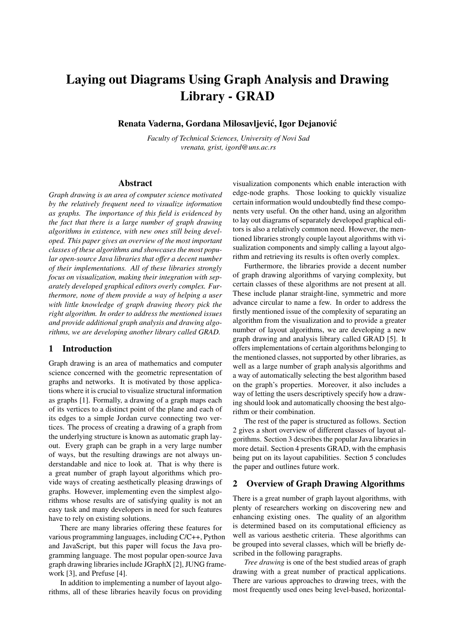# Laying out Diagrams Using Graph Analysis and Drawing Library - GRAD

Renata Vaderna, Gordana Milosavljević, Igor Dejanović

*Faculty of Technical Sciences, University of Novi Sad vrenata, grist, igord@uns.ac.rs*

## Abstract

*Graph drawing is an area of computer science motivated by the relatively frequent need to visualize information as graphs. The importance of this field is evidenced by the fact that there is a large number of graph drawing algorithms in existence, with new ones still being developed. This paper gives an overview of the most important classes of these algorithms and showcases the most popular open-source Java libraries that offer a decent number of their implementations. All of these libraries strongly focus on visualization, making their integration with separately developed graphical editors overly complex. Furthermore, none of them provide a way of helping a user with little knowledge of graph drawing theory pick the right algorithm. In order to address the mentioned issues and provide additional graph analysis and drawing algorithms, we are developing another library called GRAD.*

# 1 Introduction

Graph drawing is an area of mathematics and computer science concerned with the geometric representation of graphs and networks. It is motivated by those applications where it is crucial to visualize structural information as graphs [1]. Formally, a drawing of a graph maps each of its vertices to a distinct point of the plane and each of its edges to a simple Jordan curve connecting two vertices. The process of creating a drawing of a graph from the underlying structure is known as automatic graph layout. Every graph can be graph in a very large number of ways, but the resulting drawings are not always understandable and nice to look at. That is why there is a great number of graph layout algorithms which provide ways of creating aesthetically pleasing drawings of graphs. However, implementing even the simplest algorithms whose results are of satisfying quality is not an easy task and many developers in need for such features have to rely on existing solutions.

There are many libraries offering these features for various programming languages, including C/C++, Python and JavaScript, but this paper will focus the Java programming language. The most popular open-source Java graph drawing libraries include JGraphX [2], JUNG framework [3], and Prefuse [4].

In addition to implementing a number of layout algorithms, all of these libraries heavily focus on providing

visualization components which enable interaction with edge-node graphs. Those looking to quickly visualize certain information would undoubtedly find these components very useful. On the other hand, using an algorithm to lay out diagrams of separately developed graphical editors is also a relatively common need. However, the mentioned libraries strongly couple layout algorithms with visualization components and simply calling a layout algorithm and retrieving its results is often overly complex.

Furthermore, the libraries provide a decent number of graph drawing algorithms of varying complexity, but certain classes of these algorithms are not present at all. These include planar straight-line, symmetric and more advance circular to name a few. In order to address the firstly mentioned issue of the complexity of separating an algorithm from the visualization and to provide a greater number of layout algorithms, we are developing a new graph drawing and analysis library called GRAD [5]. It offers implementations of certain algorithms belonging to the mentioned classes, not supported by other libraries, as well as a large number of graph analysis algorithms and a way of automatically selecting the best algorithm based on the graph's properties. Moreover, it also includes a way of letting the users descriptively specify how a drawing should look and automatically choosing the best algorithm or their combination.

The rest of the paper is structured as follows. Section 2 gives a short overview of different classes of layout algorithms. Section 3 describes the popular Java libraries in more detail. Section 4 presents GRAD, with the emphasis being put on its layout capabilities. Section 5 concludes the paper and outlines future work.

## 2 Overview of Graph Drawing Algorithms

There is a great number of graph layout algorithms, with plenty of researchers working on discovering new and enhancing existing ones. The quality of an algorithm is determined based on its computational efficiency as well as various aesthetic criteria. These algorithms can be grouped into several classes, which will be briefly described in the following paragraphs.

*Tree drawing* is one of the best studied areas of graph drawing with a great number of practical applications. There are various approaches to drawing trees, with the most frequently used ones being level-based, horizontal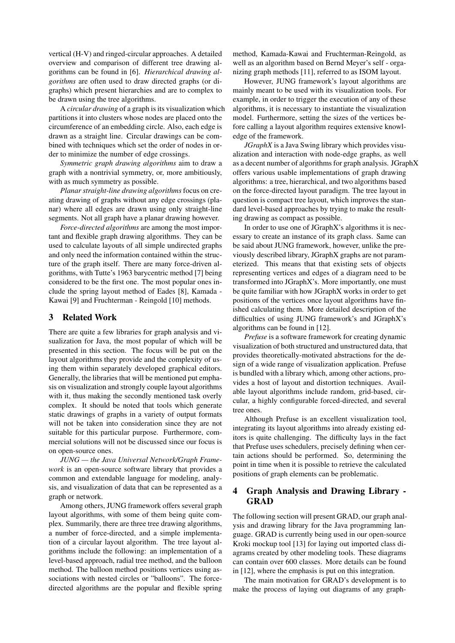vertical (H-V) and ringed-circular approaches. A detailed overview and comparison of different tree drawing algorithms can be found in [6]. *Hierarchical drawing algorithms* are often used to draw directed graphs (or digraphs) which present hierarchies and are to complex to be drawn using the tree algorithms.

A *circular drawing* of a graph is its visualization which partitions it into clusters whose nodes are placed onto the circumference of an embedding circle. Also, each edge is drawn as a straight line. Circular drawings can be combined with techniques which set the order of nodes in order to minimize the number of edge crossings.

*Symmetric graph drawing algorithms* aim to draw a graph with a nontrivial symmetry, or, more ambitiously, with as much symmetry as possible.

*Planar straight-line drawing algorithms* focus on creating drawing of graphs without any edge crossings (planar) where all edges are drawn using only straight-line segments. Not all graph have a planar drawing however.

*Force-directed algorithms* are among the most important and flexible graph drawing algorithms. They can be used to calculate layouts of all simple undirected graphs and only need the information contained within the structure of the graph itself. There are many force-driven algorithms, with Tutte's 1963 barycentric method [7] being considered to be the first one. The most popular ones include the spring layout method of Eades [8], Kamada - Kawai [9] and Fruchterman - Reingold [10] methods.

# 3 Related Work

There are quite a few libraries for graph analysis and visualization for Java, the most popular of which will be presented in this section. The focus will be put on the layout algorithms they provide and the complexity of using them within separately developed graphical editors. Generally, the libraries that will be mentioned put emphasis on visualization and strongly couple layout algorithms with it, thus making the secondly mentioned task overly complex. It should be noted that tools which generate static drawings of graphs in a variety of output formats will not be taken into consideration since they are not suitable for this particular purpose. Furthermore, commercial solutions will not be discussed since our focus is on open-source ones.

*JUNG — the Java Universal Network/Graph Framework* is an open-source software library that provides a common and extendable language for modeling, analysis, and visualization of data that can be represented as a graph or network.

Among others, JUNG framework offers several graph layout algorithms, with some of them being quite complex. Summarily, there are three tree drawing algorithms, a number of force-directed, and a simple implementation of a circular layout algorithm. The tree layout algorithms include the following: an implementation of a level-based approach, radial tree method, and the balloon method. The balloon method positions vertices using associations with nested circles or "balloons". The forcedirected algorithms are the popular and flexible spring method, Kamada-Kawai and Fruchterman-Reingold, as well as an algorithm based on Bernd Meyer's self - organizing graph methods [11], referred to as ISOM layout.

However, JUNG framework's layout algorithms are mainly meant to be used with its visualization tools. For example, in order to trigger the execution of any of these algorithms, it is necessary to instantiate the visualization model. Furthermore, setting the sizes of the vertices before calling a layout algorithm requires extensive knowledge of the framework.

*JGraphX* is a Java Swing library which provides visualization and interaction with node-edge graphs, as well as a decent number of algorithms for graph analysis. JGraphX offers various usable implementations of graph drawing algorithms: a tree, hierarchical, and two algorithms based on the force-directed layout paradigm. The tree layout in question is compact tree layout, which improves the standard level-based approaches by trying to make the resulting drawing as compact as possible.

In order to use one of JGraphX's algorithms it is necessary to create an instance of its graph class. Same can be said about JUNG framework, however, unlike the previously described library, JGraphX graphs are not parameterized. This means that that existing sets of objects representing vertices and edges of a diagram need to be transformed into JGraphX's. More importantly, one must be quite familiar with how JGraphX works in order to get positions of the vertices once layout algorithms have finished calculating them. More detailed description of the difficulties of using JUNG framework's and JGraphX's algorithms can be found in [12].

*Prefuse* is a software framework for creating dynamic visualization of both structured and unstructured data, that provides theoretically-motivated abstractions for the design of a wide range of visualization application. Prefuse is bundled with a library which, among other actions, provides a host of layout and distortion techniques. Available layout algorithms include random, grid-based, circular, a highly configurable forced-directed, and several tree ones.

Although Prefuse is an excellent visualization tool, integrating its layout algorithms into already existing editors is quite challenging. The difficulty lays in the fact that Prefuse uses schedulers, precisely defining when certain actions should be performed. So, determining the point in time when it is possible to retrieve the calculated positions of graph elements can be problematic.

# 4 Graph Analysis and Drawing Library - **GRAD**

The following section will present GRAD, our graph analysis and drawing library for the Java programming language. GRAD is currently being used in our open-source Kroki mockup tool [13] for laying out imported class diagrams created by other modeling tools. These diagrams can contain over 600 classes. More details can be found in [12], where the emphasis is put on this integration.

The main motivation for GRAD's development is to make the process of laying out diagrams of any graph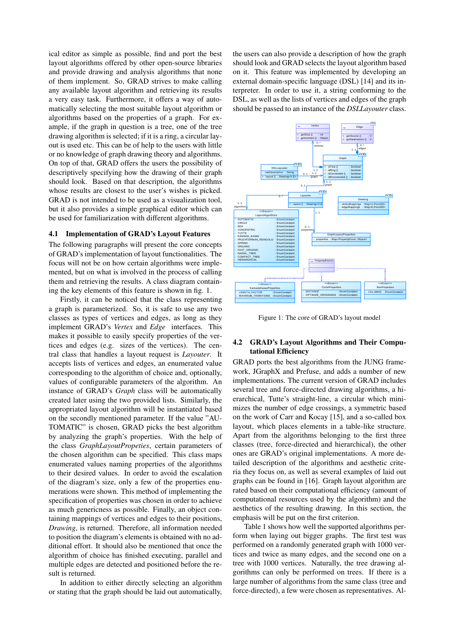ical editor as simple as possible, find and port the best layout algorithms offered by other open-source libraries and provide drawing and analysis algorithms that none of them implement. So, GRAD strives to make calling any available layout algorithm and retrieving its results a very easy task. Furthermore, it offers a way of automatically selecting the most suitable layout algorithm or algorithms based on the properties of a graph. For example, if the graph in question is a tree, one of the tree drawing algorithm is selected; if it is a ring, a circular layout is used etc. This can be of help to the users with little or no knowledge of graph drawing theory and algorithms. On top of that, GRAD offers the users the possibility of descriptively specifying how the drawing of their graph should look. Based on that description, the algorithms whose results are closest to the user's wishes is picked. GRAD is not intended to be used as a visualization tool, but it also provides a simple graphical editor which can be used for familiarization with different algorithms.

#### 4.1 Implementation of GRAD's Layout Features

The following paragraphs will present the core concepts of GRAD's implementation of layout functionalities. The focus will not be on how certain algorithms were implemented, but on what is involved in the process of calling them and retrieving the results. A class diagram containing the key elements of this feature is shown in fig. 1.

Firstly, it can be noticed that the class representing a graph is parameterized. So, it is safe to use any two classes as types of vertices and edges, as long as they implement GRAD's *Vertex* and *Edge* interfaces. This makes it possible to easily specify properties of the vertices and edges (e.g. sizes of the vertices). The central class that handles a layout request is *Layouter*. It accepts lists of vertices and edges, an enumerated value corresponding to the algorithm of choice and, optionally, values of configurable parameters of the algorithm. An instance of GRAD's *Graph* class will be automatically created later using the two provided lists. Similarly, the appropriated layout algorithm will be instantiated based on the secondly mentioned parameter. If the value "AU-TOMATIC" is chosen, GRAD picks the best algorithm by analyzing the graph's properties. With the help of the class *GraphLayoutPropeties*, certain parameters of the chosen algorithm can be specified. This class maps enumerated values naming properties of the algorithms to their desired values. In order to avoid the escalation of the diagram's size, only a few of the properties enumerations were shown. This method of implementing the specification of properties was chosen in order to achieve as much genericness as possible. Finally, an object containing mappings of vertices and edges to their positions, *Drawing*, is returned. Therefore, all information needed to position the diagram's elements is obtained with no additional effort. It should also be mentioned that once the algorithm of choice has finished executing, parallel and multiple edges are detected and positioned before the result is returned.

In addition to either directly selecting an algorithm or stating that the graph should be laid out automatically,

the users can also provide a description of how the graph should look and GRAD selects the layout algorithm based on it. This feature was implemented by developing an external domain-specific language (DSL) [14] and its interpreter. In order to use it, a string conforming to the DSL, as well as the lists of vertices and edges of the graph should be passed to an instance of the *DSLLayouter* class.



Figure 1: The core of GRAD's layout model

## 4.2 GRAD's Layout Algorithms and Their Computational Efficiency

GRAD ports the best algorithms from the JUNG framework, JGraphX and Prefuse, and adds a number of new implementations. The current version of GRAD includes several tree and force-directed drawing algorithms, a hierarchical, Tutte's straight-line, a circular which minimizes the number of edge crossings, a symmetric based on the work of Carr and Kocay [15], and a so-called box layout, which places elements in a table-like structure. Apart from the algorithms belonging to the first three classes (tree, force-directed and hierarchical), the other ones are GRAD's original implementations. A more detailed description of the algorithms and aesthetic criteria they focus on, as well as several examples of laid out graphs can be found in [16]. Graph layout algorithm are rated based on their computational efficiency (amount of computational resources used by the algorithm) and the aesthetics of the resulting drawing. In this section, the emphasis will be put on the first criterion.

Table 1 shows how well the supported algorithms perform when laying out bigger graphs. The first test was performed on a randomly generated graph with 1000 vertices and twice as many edges, and the second one on a tree with 1000 vertices. Naturally, the tree drawing algorithms can only be performed on trees. If there is a large number of algorithms from the same class (tree and force-directed), a few were chosen as representatives. Al